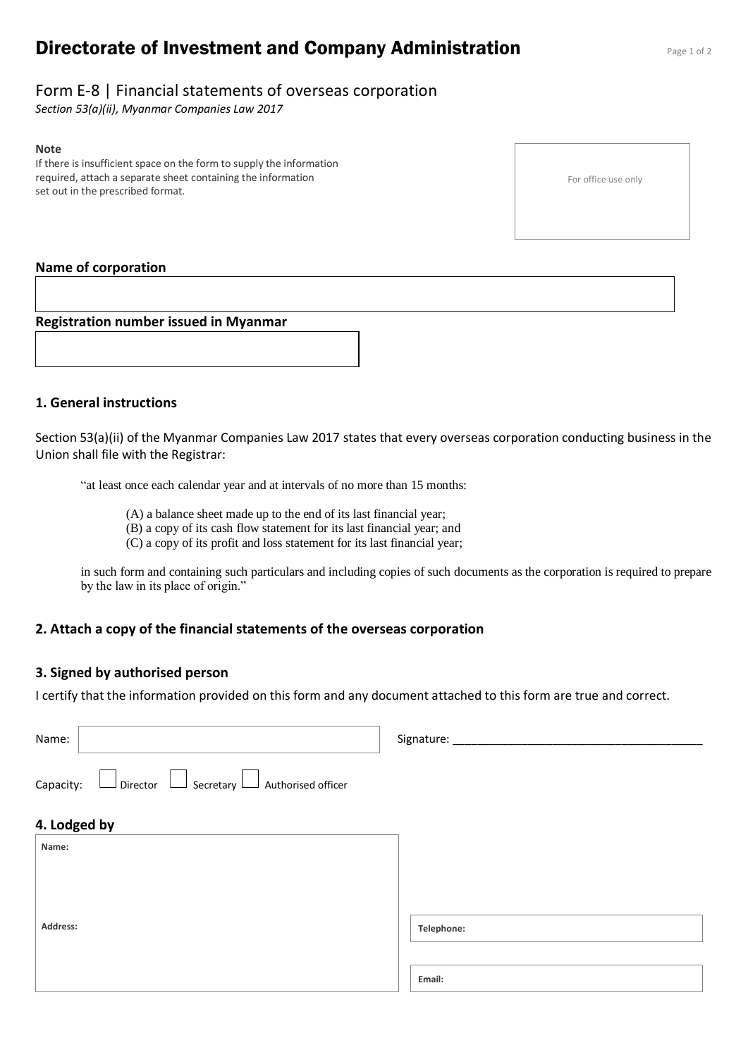# **Directorate of Investment and Company Administration** Page 1 of 2

## Form E-8 | Financial statements of overseas corporation

*Section 53(a)(ii), Myanmar Companies Law 2017*

#### **Note**

If there is insufficient space on the form to supply the information required, attach a separate sheet containing the information set out in the prescribed format.

For office use only

## **Name of corporation**

**Registration number issued in Myanmar**

### **1. General instructions**

Section 53(a)(ii) of the Myanmar Companies Law 2017 states that every overseas corporation conducting business in the Union shall file with the Registrar:

"at least once each calendar year and at intervals of no more than 15 months:

- (A) a balance sheet made up to the end of its last financial year;
- (B) a copy of its cash flow statement for its last financial year; and
- (C) a copy of its profit and loss statement for its last financial year;

in such form and containing such particulars and including copies of such documents as the corporation is required to prepare by the law in its place of origin."

### **2. Attach a copy of the financial statements of the overseas corporation**

### **3. Signed by authorised person**

I certify that the information provided on this form and any document attached to this form are true and correct.

| Name:        |                                         | Signature: |  |
|--------------|-----------------------------------------|------------|--|
| Capacity:    | Director Secretary I Authorised officer |            |  |
| 4. Lodged by |                                         |            |  |
| Name:        |                                         |            |  |
|              |                                         |            |  |
|              |                                         |            |  |
| Address:     |                                         | Telephone: |  |
|              |                                         |            |  |
|              |                                         | Email:     |  |